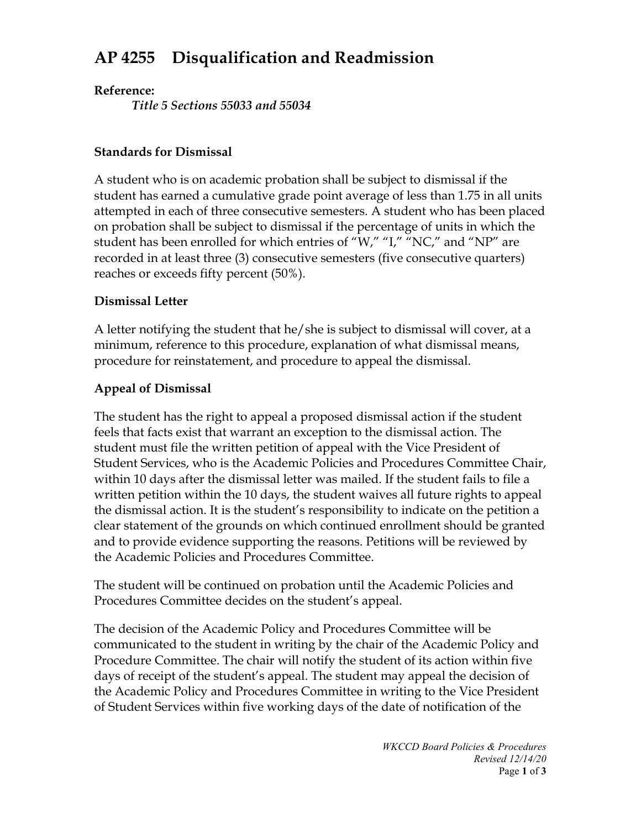# **AP 4255 Disqualification and Readmission**

#### **Reference:**

*Title 5 Sections 55033 and 55034*

#### **Standards for Dismissal**

A student who is on academic probation shall be subject to dismissal if the student has earned a cumulative grade point average of less than 1.75 in all units attempted in each of three consecutive semesters. A student who has been placed on probation shall be subject to dismissal if the percentage of units in which the student has been enrolled for which entries of "W," "I," "NC," and "NP" are recorded in at least three (3) consecutive semesters (five consecutive quarters) reaches or exceeds fifty percent (50%).

#### **Dismissal Letter**

A letter notifying the student that he/she is subject to dismissal will cover, at a minimum, reference to this procedure, explanation of what dismissal means, procedure for reinstatement, and procedure to appeal the dismissal.

## **Appeal of Dismissal**

The student has the right to appeal a proposed dismissal action if the student feels that facts exist that warrant an exception to the dismissal action. The student must file the written petition of appeal with the Vice President of Student Services, who is the Academic Policies and Procedures Committee Chair, within 10 days after the dismissal letter was mailed. If the student fails to file a written petition within the 10 days, the student waives all future rights to appeal the dismissal action. It is the student's responsibility to indicate on the petition a clear statement of the grounds on which continued enrollment should be granted and to provide evidence supporting the reasons. Petitions will be reviewed by the Academic Policies and Procedures Committee.

The student will be continued on probation until the Academic Policies and Procedures Committee decides on the student's appeal.

The decision of the Academic Policy and Procedures Committee will be communicated to the student in writing by the chair of the Academic Policy and Procedure Committee. The chair will notify the student of its action within five days of receipt of the student's appeal. The student may appeal the decision of the Academic Policy and Procedures Committee in writing to the Vice President of Student Services within five working days of the date of notification of the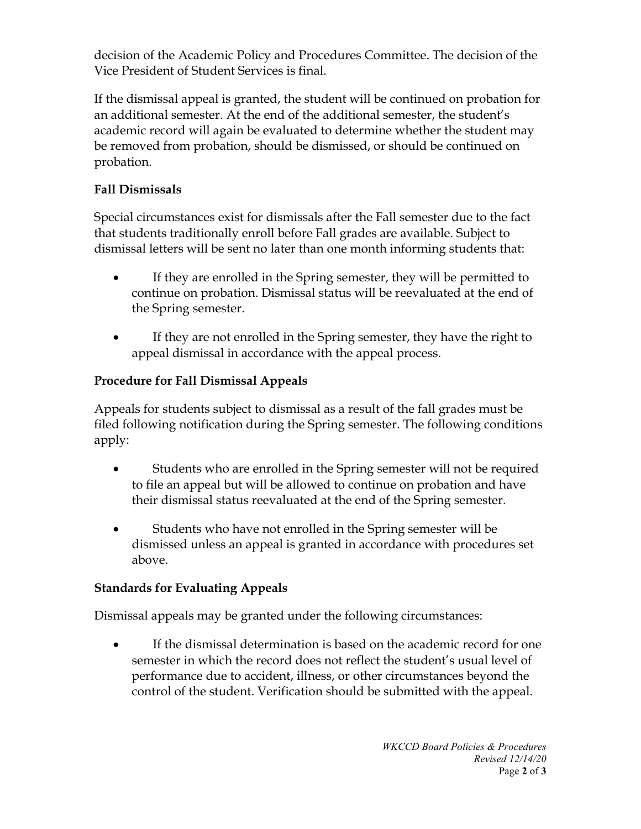decision of the Academic Policy and Procedures Committee. The decision of the Vice President of Student Services is final.

If the dismissal appeal is granted, the student will be continued on probation for an additional semester. At the end of the additional semester, the student's academic record will again be evaluated to determine whether the student may be removed from probation, should be dismissed, or should be continued on probation.

## **Fall Dismissals**

Special circumstances exist for dismissals after the Fall semester due to the fact that students traditionally enroll before Fall grades are available. Subject to dismissal letters will be sent no later than one month informing students that:

- If they are enrolled in the Spring semester, they will be permitted to continue on probation. Dismissal status will be reevaluated at the end of the Spring semester.
- If they are not enrolled in the Spring semester, they have the right to appeal dismissal in accordance with the appeal process.

# **Procedure for Fall Dismissal Appeals**

Appeals for students subject to dismissal as a result of the fall grades must be filed following notification during the Spring semester. The following conditions apply:

- Students who are enrolled in the Spring semester will not be required to file an appeal but will be allowed to continue on probation and have their dismissal status reevaluated at the end of the Spring semester.
- Students who have not enrolled in the Spring semester will be dismissed unless an appeal is granted in accordance with procedures set above.

## **Standards for Evaluating Appeals**

Dismissal appeals may be granted under the following circumstances:

• If the dismissal determination is based on the academic record for one semester in which the record does not reflect the student's usual level of performance due to accident, illness, or other circumstances beyond the control of the student. Verification should be submitted with the appeal.